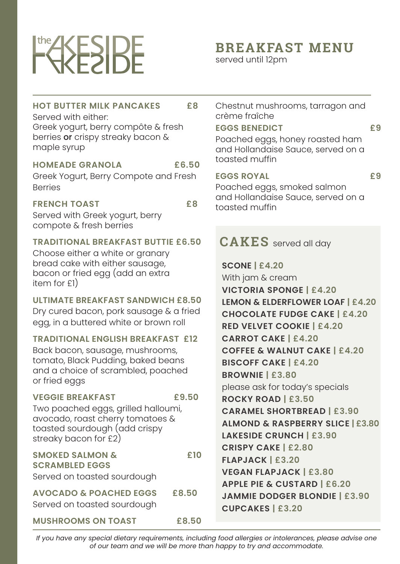# **FEESIDE**

# **BREAKFAST MENU**

served until 12pm

# **HOT BUTTER MILK PANCAKES £8**

Served with either: Greek yogurt, berry compôte & fresh berries or crispy streaky bacon & maple syrup

#### **HOMEADE GRANOLA £6.50**

Greek Yogurt, Berry Compote and Fresh Berries

**FRENCH TOAST £8** Served with Greek yogurt, berry compote & fresh berries

#### **TRADITIONAL BREAKFAST BUTTIE £6.50**

Choose either a white or granary bread cake with either sausage, bacon or fried egg (add an extra item for £1)

#### **ULTIMATE BREAKFAST SANDWICH £8.50**

Dry cured bacon, pork sausage & a fried egg, in a buttered white or brown roll

#### **TRADITIONAL ENGLISH BREAKFAST £12**

Back bacon, sausage, mushrooms, tomato, Black Pudding, baked beans and a choice of scrambled, poached or fried eggs

#### **VEGGIE BREAKFAST £9.50** Two poached eggs, grilled halloumi, avocado, roast cherry tomatoes &

toasted sourdough (add crispy streaky bacon for £2)

| <b>SMOKED SALMON &amp;</b>                 | £10 |
|--------------------------------------------|-----|
| <b>SCRAMBLED EGGS</b>                      |     |
| Served on toasted sourdough                |     |
| <b>AVOCADO &amp; POACHED EGGS</b><br>£8.50 |     |
| Served on toasted sourdough                |     |

**MUSHROOMS ON TOAST £8.50**

Chestnut mushrooms, tarragon and crème fraîche

#### **EGGS BENEDICT 69**

Poached eggs, honey roasted ham and Hollandaise Sauce, served on a toasted muffin

#### **EGGS ROYAL £9**

Poached eggs, smoked salmon and Hollandaise Sauce, served on a toasted muffin

# **CAKES** served all day

**SCONE | £4.20** With jam & cream **VICTORIA SPONGE | £4.20 LEMON & ELDERFLOWER LOAF | £4.20 CHOCOLATE FUDGE CAKE | £4.20 RED VELVET COOKIE | £4.20 CARROT CAKE | £4.20 COFFEE & WALNUT CAKE | £4.20 BISCOFF CAKE | £4.20 BROWNIE | £3.80** please ask for today's specials **ROCKY ROAD | £3.50 CARAMEL SHORTBREAD | £3.90 ALMOND & RASPBERRY SLICE | £3.80 LAKESIDE CRUNCH | £3.90 CRISPY CAKE | £2.80 FLAPJACK | £3.20 VEGAN FLAPJACK | £3.80 APPLE PIE & CUSTARD | £6.20 JAMMIE DODGER BLONDIE | £3.90 CUPCAKES | £3.20**

*If you have any special dietary requirements, including food allergies or intolerances, please advise one of our team and we will be more than happy to try and accommodate.*